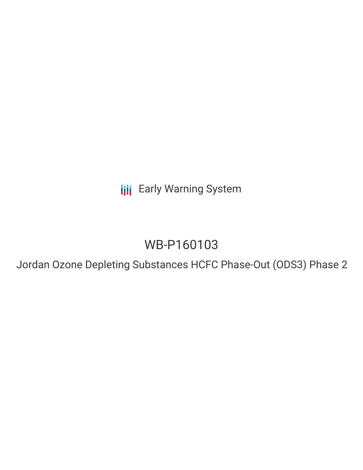**III** Early Warning System

## WB-P160103

Jordan Ozone Depleting Substances HCFC Phase-Out (ODS3) Phase 2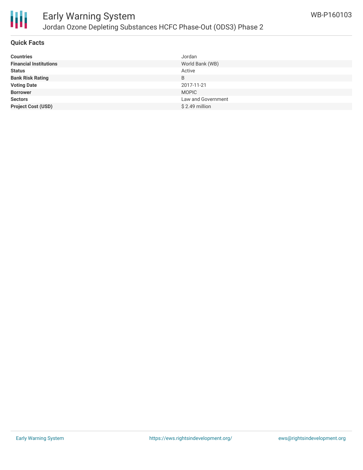

# Ш

## Early Warning System Jordan Ozone Depleting Substances HCFC Phase-Out (ODS3) Phase 2

## **Quick Facts**

| <b>Countries</b>              | Jordan             |
|-------------------------------|--------------------|
| <b>Financial Institutions</b> | World Bank (WB)    |
| <b>Status</b>                 | Active             |
| <b>Bank Risk Rating</b>       | B                  |
| <b>Voting Date</b>            | 2017-11-21         |
| <b>Borrower</b>               | <b>MOPIC</b>       |
| <b>Sectors</b>                | Law and Government |
| <b>Project Cost (USD)</b>     | $$2.49$ million    |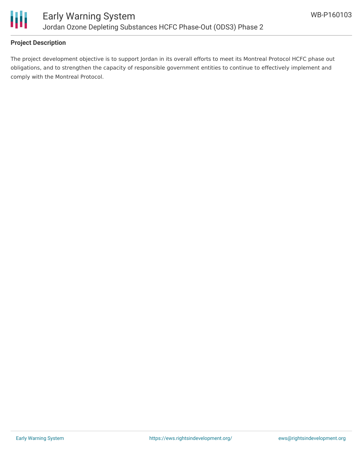

## **Project Description**

The project development objective is to support Jordan in its overall efforts to meet its Montreal Protocol HCFC phase out obligations, and to strengthen the capacity of responsible government entities to continue to effectively implement and comply with the Montreal Protocol.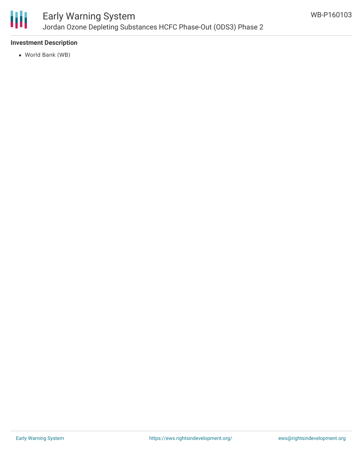

## Early Warning System Jordan Ozone Depleting Substances HCFC Phase-Out (ODS3) Phase 2

#### **Investment Description**

World Bank (WB)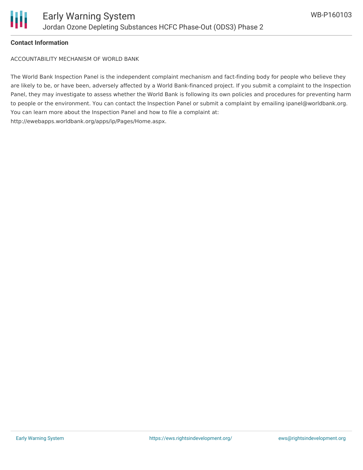

#### **Contact Information**

ACCOUNTABILITY MECHANISM OF WORLD BANK

The World Bank Inspection Panel is the independent complaint mechanism and fact-finding body for people who believe they are likely to be, or have been, adversely affected by a World Bank-financed project. If you submit a complaint to the Inspection Panel, they may investigate to assess whether the World Bank is following its own policies and procedures for preventing harm to people or the environment. You can contact the Inspection Panel or submit a complaint by emailing ipanel@worldbank.org. You can learn more about the Inspection Panel and how to file a complaint at: http://ewebapps.worldbank.org/apps/ip/Pages/Home.aspx.